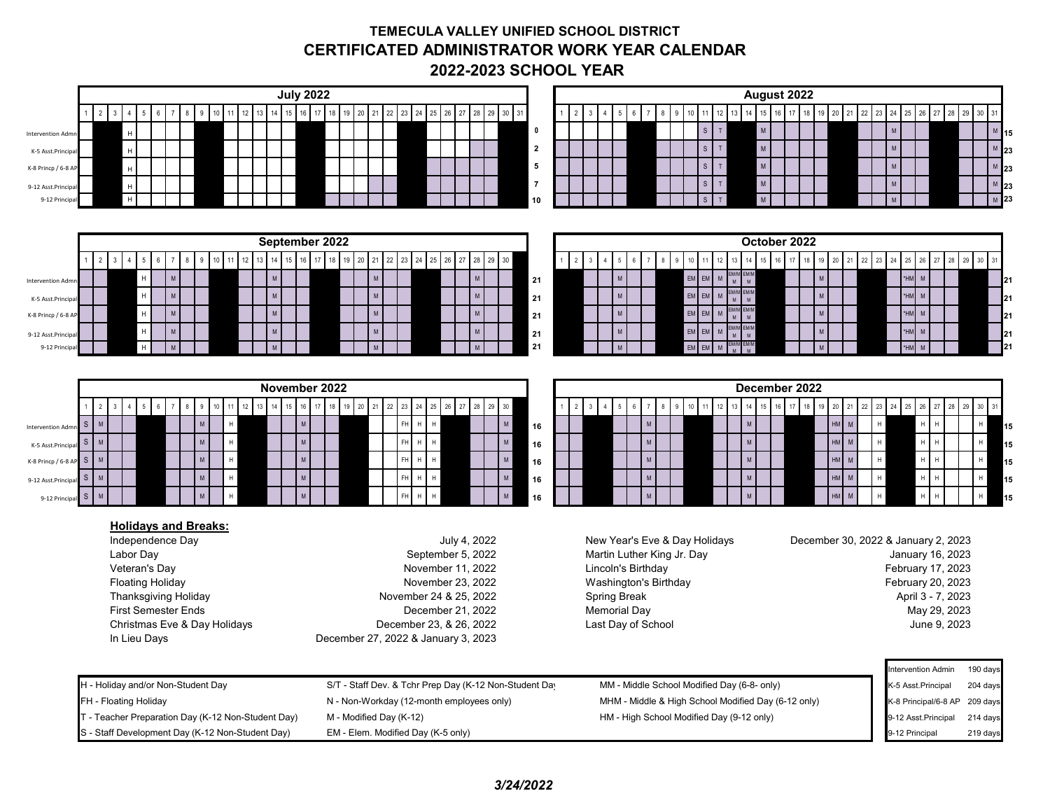## **TEMECULA VALLEY UNIFIED SCHOOL DISTRICT CERTIFICATED ADMINISTRATOR WORK YEAR CALENDAR 2022-2023 SCHOOL YEAR**

| <b>July 2022</b>                                                                                                                                                                    | August 2022                                                                                                                                                     |  |  |
|-------------------------------------------------------------------------------------------------------------------------------------------------------------------------------------|-----------------------------------------------------------------------------------------------------------------------------------------------------------------|--|--|
| 14   15   16   17   18   19   20   21   22   23   24   25   26   27   28   29   30   31<br>$1 \quad 2 \quad 3$<br>$\overline{4}$<br>8 9 10<br>12 13<br>$5\phantom{.0}$<br>11<br>- 6 | 13 14 15 16 17 18 19 20 21 22 23 24 25 26 27 28 29 30 31<br>$9$ 10<br>12<br>$2 \mid 3$<br>4<br>$5\phantom{.0}$<br>$6\overline{6}$<br>11                         |  |  |
| $\mathsf{H}% _{\mathsf{H}}^{\ast}=\mathsf{H}_{\mathsf{H}}^{\ast}$<br><b>Intervention Admr</b>                                                                                       | $\mathsf S$<br>${\sf M}$<br>M<br>$\top$<br>$\pmb{0}$<br>M                                                                                                       |  |  |
| $\mathsf{H}$<br>K-5 Asst.Principa                                                                                                                                                   | $\mathsf{M}$<br>$\mathsf S$<br>$\top$<br>$\overline{2}$<br>$\mathsf{M}$<br>$\mathsf{M}^-$                                                                       |  |  |
| H                                                                                                                                                                                   | $\mathsf{M}$<br>$\mathsf{s}$<br>$\top$<br>M 23<br>5<br>M                                                                                                        |  |  |
| K-8 Princp / 6-8 A                                                                                                                                                                  |                                                                                                                                                                 |  |  |
| H<br>9-12 Asst.Principa                                                                                                                                                             | $\mathsf{M}$<br>$\mathsf S$<br>$\overline{7}$<br>$\top$<br>$\mathsf{M}$<br>M                                                                                    |  |  |
| $\mathsf{H}$<br>9-12 Princip                                                                                                                                                        | $\mathsf{s}$<br>${\sf M}$<br>T<br>10                                                                                                                            |  |  |
|                                                                                                                                                                                     |                                                                                                                                                                 |  |  |
| September 2022                                                                                                                                                                      | October 2022                                                                                                                                                    |  |  |
| 28 29 30<br>19<br>20<br>21<br>$2 \mid 3$<br>13 <sup>13</sup><br>15<br>16<br>24<br>27<br>10<br>22<br>26<br>-5<br>23                                                                  | 2<br>$20\,$<br>28 29 30<br>15<br>21<br>22<br>23<br>26<br>$27\,$<br>$\overline{3}$<br>25                                                                         |  |  |
| $\mathsf{M}$<br>$\mathsf H$<br>${\sf M}$<br>M<br>${\sf M}$                                                                                                                          | $EM$ $EM$<br>M MH <sup>*</sup><br>${\sf M}$<br>M<br>${\sf M}$                                                                                                   |  |  |
| <b>Intervention Adm</b><br>$\mathsf H$                                                                                                                                              | 21<br>$\mathsf{M}^+$<br>M<br>EM<br><b>HM</b>                                                                                                                    |  |  |
| $\mathsf{M}$<br>${\sf M}$<br>M<br>M<br>K-5 Asst.Principa                                                                                                                            | EM/M<br>M<br>EM<br>${\sf M}$<br>${\sf M}$<br>${\sf M}$<br>M<br>21                                                                                               |  |  |
| $\boldsymbol{\mathsf{H}}$<br>$\mathsf{M}$<br>${\sf M}$<br>${\sf M}$<br>M<br>K-8 Princp / 6-8 A                                                                                      | EM EM<br>EM/M<br>M<br>${\sf M}$<br>${\sf M}$<br>'HM<br>${\sf M}$<br>M<br>21<br>$\mathbf{M}$                                                                     |  |  |
| $\mathsf H$<br>M<br>M<br>M<br>M<br>9-12 Asst.Principa                                                                                                                               | $EM$ EM<br>M/M<br>M<br>${\sf M}$<br>${\sf M}$<br>HM <sup>*</sup><br>${\sf M}$<br>M<br>21                                                                        |  |  |
| H<br>M<br>9-12 Princip                                                                                                                                                              | 21<br>EM<br>EM<br>M<br>$\mathbf{M}$                                                                                                                             |  |  |
|                                                                                                                                                                                     |                                                                                                                                                                 |  |  |
| November 2022                                                                                                                                                                       | December 2022                                                                                                                                                   |  |  |
|                                                                                                                                                                                     |                                                                                                                                                                 |  |  |
| 15<br>18 19<br>27<br>$29\quad 30$<br>13<br>14<br>16 17<br>20<br>$24\,$<br>$25\,$<br>26<br>28<br>$\mathbf{3}$<br>10<br>21<br>$\overline{4}$<br>5<br>11<br>22<br>23                   | 15 16 17<br>$20\,$<br>12<br>14<br>18<br>21<br>$22\,$<br>23<br>25<br>26<br>27<br>28<br>29 30<br>$2^{\circ}$<br>$\mathbf{3}$<br>10 <sup>1</sup><br>31<br>19<br>24 |  |  |
| $\mathsf{M}$<br>${\sf M}$<br>$S$ M<br>$\,$ H $\,$<br>$\mathsf{H}^-$<br>${\sf M}$<br>$\,$ H<br>FH.<br>Intervention Adn                                                               | M<br>$HM$ $M$<br>M<br>$\mathsf H$<br>H<br>H<br>16<br>15                                                                                                         |  |  |
| ${\sf M}$<br>${\sf M}$<br>$\mathsf H$<br>$S$ M<br>$\,$ H<br>H<br>${\sf M}$<br>FH <sub>1</sub><br>K-5 Asst.Principa                                                                  | $\mathsf{M}$<br>$HM$ $M$<br>H<br>$\mathsf H$<br>H<br>M<br>H<br>15<br>16                                                                                         |  |  |
| $\sf H$<br>${\sf M}$<br>$\,$ H<br>$\mathsf{M}$<br>$\mathsf{H}$<br>$S$ M<br>${\sf M}$<br>FH <sub>1</sub><br>K-8 Princp / 6-8 A                                                       | $HM$ $M$<br>$\mathsf{M}$<br>$\mathsf{H}% _{\mathsf{H}}^{\ast}=\mathsf{H}_{\mathsf{H}}^{\ast}=\mathsf{H}_{\mathsf{H}}^{\ast}$<br>$\mathsf H$<br>M<br>15<br>16    |  |  |
| ${\sf M}$<br>$\mathsf H$<br>$\mathsf H$<br>H<br>${\sf M}$<br>S<br>M<br>${\sf M}$<br>FH <sub>1</sub><br>9-12 Asst.Principa                                                           | $HM$ $M$<br>${\sf M}$<br>$\,$ H<br>M<br>15<br>H<br>16                                                                                                           |  |  |
| M<br>$\mathsf{S}$<br>M<br>H<br>FH.                                                                                                                                                  | $HM$ M<br>M<br>$\mathsf H$                                                                                                                                      |  |  |
| 9-12 Princi                                                                                                                                                                         | 16                                                                                                                                                              |  |  |
| <b>Holidays and Breaks:</b>                                                                                                                                                         |                                                                                                                                                                 |  |  |
| Independence Day<br>July 4, 2022                                                                                                                                                    | New Year's Eve & Day Holidays<br>December 30, 2022 & January 2, 2023                                                                                            |  |  |
| Labor Day<br>September 5, 2022                                                                                                                                                      | Martin Luther King Jr. Day<br>January 16, 2023                                                                                                                  |  |  |
| Veteran's Day<br>November 11, 2022                                                                                                                                                  | Lincoln's Birthday<br>February 17, 2023                                                                                                                         |  |  |
| <b>Floating Holiday</b><br>November 23, 2022                                                                                                                                        | Washington's Birthday<br>February 20, 2023                                                                                                                      |  |  |
| <b>Thanksgiving Holiday</b><br>November 24 & 25, 2022                                                                                                                               | <b>Spring Break</b><br>April 3 - 7, 2023                                                                                                                        |  |  |
| <b>First Semester Ends</b><br>December 21, 2022                                                                                                                                     | <b>Memorial Day</b><br>May 29, 2023                                                                                                                             |  |  |
| Christmas Eve & Day Holidays<br>December 23, & 26, 2022                                                                                                                             | June 9, 2023<br>Last Day of School                                                                                                                              |  |  |
| In Lieu Days<br>December 27, 2022 & January 3, 2023                                                                                                                                 |                                                                                                                                                                 |  |  |
|                                                                                                                                                                                     |                                                                                                                                                                 |  |  |
|                                                                                                                                                                                     | ntervention Admin<br>190 days                                                                                                                                   |  |  |
| H - Holiday and/or Non-Student Day<br>S/T - Staff Dev. & Tchr Prep Day (K-12 Non-Student Day                                                                                        | MM - Middle School Modified Day (6-8- only)<br>K-5 Asst.Principal<br>204 days                                                                                   |  |  |
| FH - Floating Holiday<br>N - Non-Workday (12-month employees only)                                                                                                                  | MHM - Middle & High School Modified Day (6-12 only)<br>K-8 Principal/6-8 AP 209 days                                                                            |  |  |
| T - Teacher Preparation Day (K-12 Non-Student Day)<br>M - Modified Day (K-12)                                                                                                       | HM - High School Modified Day (9-12 only)<br>9-12 Asst.Principal<br>214 days                                                                                    |  |  |
| S - Staff Development Day (K-12 Non-Student Day)<br>EM - Elem. Modified Day (K-5 only)                                                                                              | 9-12 Principal<br>219 days                                                                                                                                      |  |  |